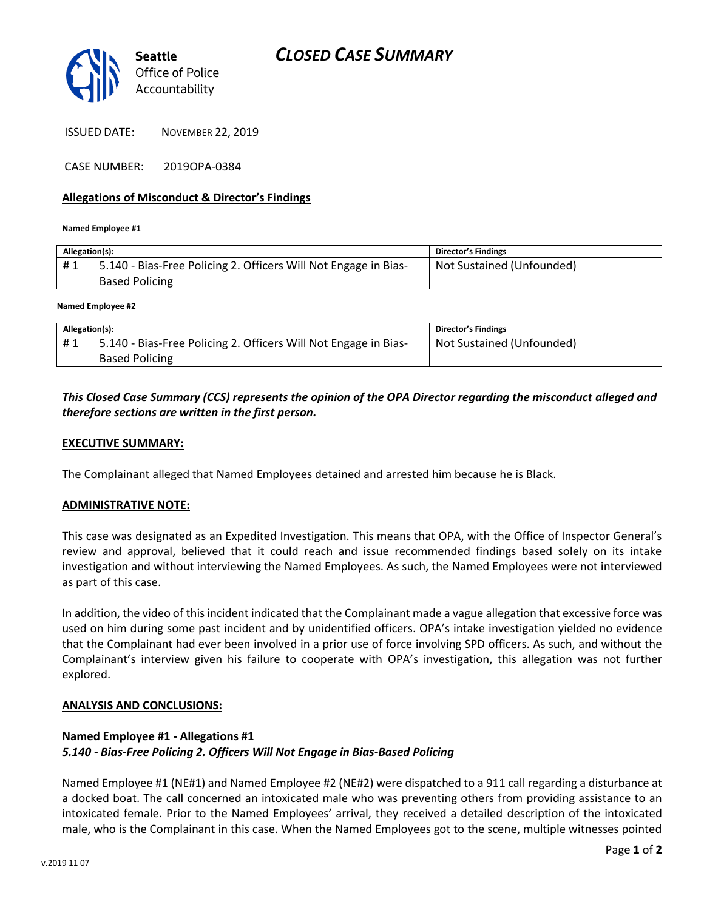

ISSUED DATE: NOVEMBER 22, 2019

CASE NUMBER: 2019OPA-0384

### **Allegations of Misconduct & Director's Findings**

**Named Employee #1**

| Allegation(s): |                                                                 | <b>Director's Findings</b> |
|----------------|-----------------------------------------------------------------|----------------------------|
| #1             | 5.140 - Bias-Free Policing 2. Officers Will Not Engage in Bias- | Not Sustained (Unfounded)  |
|                | <b>Based Policing</b>                                           |                            |
|                |                                                                 |                            |

#### **Named Employee #2**

| Allegation(s): |                                                                 | Director's Findings       |
|----------------|-----------------------------------------------------------------|---------------------------|
| #1             | 5.140 - Bias-Free Policing 2. Officers Will Not Engage in Bias- | Not Sustained (Unfounded) |
|                | <b>Based Policing</b>                                           |                           |

## *This Closed Case Summary (CCS) represents the opinion of the OPA Director regarding the misconduct alleged and therefore sections are written in the first person.*

#### **EXECUTIVE SUMMARY:**

The Complainant alleged that Named Employees detained and arrested him because he is Black.

#### **ADMINISTRATIVE NOTE:**

This case was designated as an Expedited Investigation. This means that OPA, with the Office of Inspector General's review and approval, believed that it could reach and issue recommended findings based solely on its intake investigation and without interviewing the Named Employees. As such, the Named Employees were not interviewed as part of this case.

In addition, the video of this incident indicated that the Complainant made a vague allegation that excessive force was used on him during some past incident and by unidentified officers. OPA's intake investigation yielded no evidence that the Complainant had ever been involved in a prior use of force involving SPD officers. As such, and without the Complainant's interview given his failure to cooperate with OPA's investigation, this allegation was not further explored.

#### **ANALYSIS AND CONCLUSIONS:**

## **Named Employee #1 - Allegations #1** *5.140 - Bias-Free Policing 2. Officers Will Not Engage in Bias-Based Policing*

Named Employee #1 (NE#1) and Named Employee #2 (NE#2) were dispatched to a 911 call regarding a disturbance at a docked boat. The call concerned an intoxicated male who was preventing others from providing assistance to an intoxicated female. Prior to the Named Employees' arrival, they received a detailed description of the intoxicated male, who is the Complainant in this case. When the Named Employees got to the scene, multiple witnesses pointed